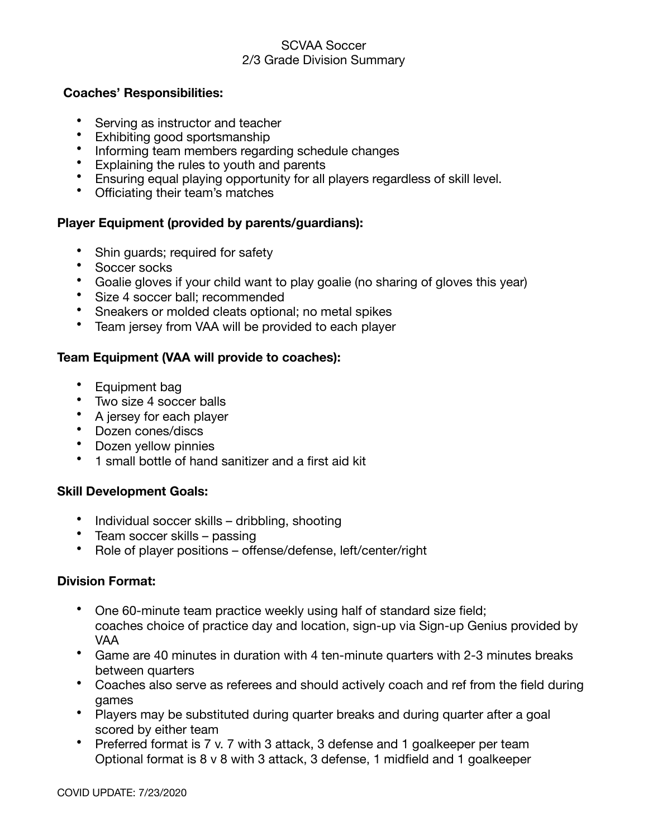#### SCVAA Soccer 2/3 Grade Division Summary

### **Coaches' Responsibilities:**

- Serving as instructor and teacher
- Exhibiting good sportsmanship
- Informing team members regarding schedule changes
- Explaining the rules to youth and parents
- Ensuring equal playing opportunity for all players regardless of skill level.
- Officiating their team's matches

# **Player Equipment (provided by parents/guardians):**

- Shin guards; required for safety
- Soccer socks
- Goalie gloves if your child want to play goalie (no sharing of gloves this year)
- Size 4 soccer ball; recommended
- Sneakers or molded cleats optional; no metal spikes
- Team jersey from VAA will be provided to each player

# **Team Equipment (VAA will provide to coaches):**

- Equipment bag
- Two size 4 soccer balls
- A jersey for each player
- Dozen cones/discs
- Dozen yellow pinnies
- 1 small bottle of hand sanitizer and a first aid kit

### **Skill Development Goals:**

- Individual soccer skills dribbling, shooting
- Team soccer skills passing
- Role of player positions offense/defense, left/center/right

### **Division Format:**

- One 60-minute team practice weekly using half of standard size field; coaches choice of practice day and location, sign-up via Sign-up Genius provided by VAA
- Game are 40 minutes in duration with 4 ten-minute quarters with 2-3 minutes breaks between quarters
- Coaches also serve as referees and should actively coach and ref from the field during games
- Players may be substituted during quarter breaks and during quarter after a goal scored by either team
- Preferred format is 7 v. 7 with 3 attack, 3 defense and 1 goalkeeper per team Optional format is 8 v 8 with 3 attack, 3 defense, 1 midfield and 1 goalkeeper